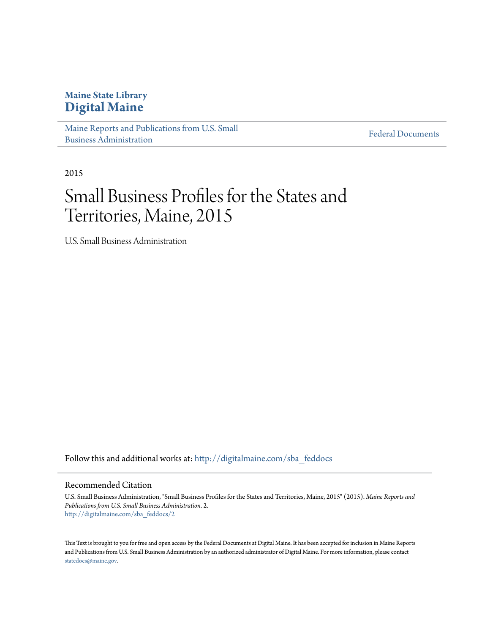#### **Maine State Library [Digital Maine](http://digitalmaine.com?utm_source=digitalmaine.com%2Fsba_feddocs%2F2&utm_medium=PDF&utm_campaign=PDFCoverPages)**

[Maine Reports and Publications from U.S. Small](http://digitalmaine.com/sba_feddocs?utm_source=digitalmaine.com%2Fsba_feddocs%2F2&utm_medium=PDF&utm_campaign=PDFCoverPages) [Business Administration](http://digitalmaine.com/sba_feddocs?utm_source=digitalmaine.com%2Fsba_feddocs%2F2&utm_medium=PDF&utm_campaign=PDFCoverPages)

[Federal Documents](http://digitalmaine.com/feddocs?utm_source=digitalmaine.com%2Fsba_feddocs%2F2&utm_medium=PDF&utm_campaign=PDFCoverPages)

2015

### Small Business Profiles for the States and Territories, Maine, 2015

U.S. Small Business Administration

Follow this and additional works at: [http://digitalmaine.com/sba\\_feddocs](http://digitalmaine.com/sba_feddocs?utm_source=digitalmaine.com%2Fsba_feddocs%2F2&utm_medium=PDF&utm_campaign=PDFCoverPages)

#### Recommended Citation

U.S. Small Business Administration, "Small Business Profiles for the States and Territories, Maine, 2015" (2015). *Maine Reports and Publications from U.S. Small Business Administration*. 2. [http://digitalmaine.com/sba\\_feddocs/2](http://digitalmaine.com/sba_feddocs/2?utm_source=digitalmaine.com%2Fsba_feddocs%2F2&utm_medium=PDF&utm_campaign=PDFCoverPages)

This Text is brought to you for free and open access by the Federal Documents at Digital Maine. It has been accepted for inclusion in Maine Reports and Publications from U.S. Small Business Administration by an authorized administrator of Digital Maine. For more information, please contact [statedocs@maine.gov.](mailto:statedocs@maine.gov)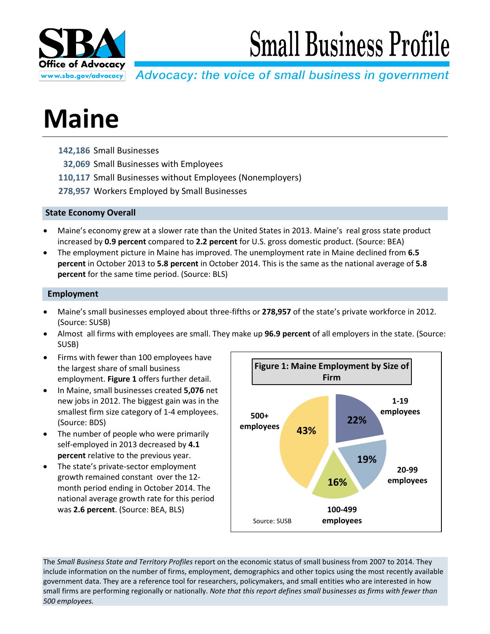

# **Small Business Profile**

Advocacy: the voice of small business in government

## **Maine**

- **142,186** Small Businesses
- **32,069** Small Businesses with Employees
- **110,117** Small Businesses without Employees (Nonemployers)
- **278,957** Workers Employed by Small Businesses

#### **State Economy Overall**

- Maine's economy grew at a slower rate than the United States in 2013. Maine's real gross state product increased by **0.9 percent** compared to **2.2 percent** for U.S. gross domestic product. (Source: BEA)
- The employment picture in Maine has improved. The unemployment rate in Maine declined from **6.5 percent** in October 2013 to **5.8 percent** in October 2014. This is the same as the national average of **5.8 percent** for the same time period. (Source: BLS)

#### **Employment**

- Maine's small businesses employed about three-fifths or **278,957** of the state's private workforce in 2012. (Source: SUSB)
- Almost all firms with employees are small. They make up **96.9 percent** of all employers in the state. (Source: SUSB)
- Firms with fewer than 100 employees have the largest share of small business employment. **Figure 1** offers further detail.
- In Maine, small businesses created **5,076** net new jobs in 2012. The biggest gain was in the smallest firm size category of 1-4 employees. (Source: BDS)
- The number of people who were primarily self-employed in 2013 decreased by **4.1 percent** relative to the previous year.
- The state's private-sector employment growth remained constant over the 12 month period ending in October 2014. The national average growth rate for this period was **2.6 percent**. (Source: BEA, BLS)



The *Small Business State and Territory Profiles* report on the economic status of small business from 2007 to 2014. They include information on the number of firms, employment, demographics and other topics using the most recently available government data. They are a reference tool for researchers, policymakers, and small entities who are interested in how small firms are performing regionally or nationally. *Note that this report defines small businesses as firms with fewer than 500 employees.*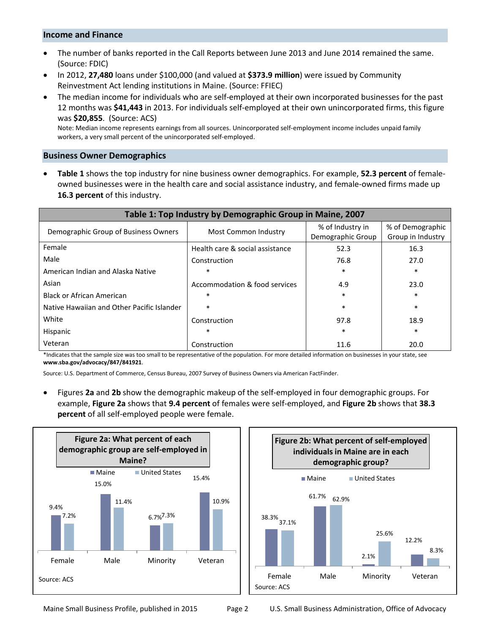#### **Income and Finance**

- The number of banks reported in the Call Reports between June 2013 and June 2014 remained the same. (Source: FDIC)
- In 2012, **27,480** loans under \$100,000 (and valued at **\$373.9 million**) were issued by Community Reinvestment Act lending institutions in Maine. (Source: FFIEC)
- The median income for individuals who are self-employed at their own incorporated businesses for the past 12 months was **\$41,443** in 2013. For individuals self-employed at their own unincorporated firms, this figure was **\$20,855**. (Source: ACS)

Note: Median income represents earnings from all sources. Unincorporated self-employment income includes unpaid family workers, a very small percent of the unincorporated self-employed.

#### **Business Owner Demographics**

• **Table 1** shows the top industry for nine business owner demographics. For example, **52.3 percent** of femaleowned businesses were in the health care and social assistance industry, and female-owned firms made up **16.3 percent** of this industry.

| Table 1: Top Industry by Demographic Group in Maine, 2007 |                                 |                                       |                                       |  |
|-----------------------------------------------------------|---------------------------------|---------------------------------------|---------------------------------------|--|
| Demographic Group of Business Owners                      | Most Common Industry            | % of Industry in<br>Demographic Group | % of Demographic<br>Group in Industry |  |
| Female                                                    | Health care & social assistance | 52.3                                  | 16.3                                  |  |
| Male                                                      | Construction                    | 76.8                                  | 27.0                                  |  |
| American Indian and Alaska Native                         | $\ast$                          | $\ast$                                | $\ast$                                |  |
| Asian                                                     | Accommodation & food services   | 4.9                                   | 23.0                                  |  |
| <b>Black or African American</b>                          | $\ast$                          | $\ast$                                | $\ast$                                |  |
| Native Hawaiian and Other Pacific Islander                | $\ast$                          | $\ast$                                | $\ast$                                |  |
| White                                                     | Construction                    | 97.8                                  | 18.9                                  |  |
| Hispanic                                                  | $\ast$                          | $\ast$                                | $\ast$                                |  |
| Veteran                                                   | Construction                    | 11.6                                  | 20.0                                  |  |

\*Indicates that the sample size was too small to be representative of the population. For more detailed information on businesses in your state, see **www.sba.gov/advocacy/847/841921**.

Source: U.S. Department of Commerce, Census Bureau, 2007 Survey of Business Owners via American FactFinder.

• Figures **2a** and **2b** show the demographic makeup of the self-employed in four demographic groups. For example, **Figure 2a** shows that **9.4 percent** of females were self-employed, and **Figure 2b** shows that **38.3 percent** of all self-employed people were female.



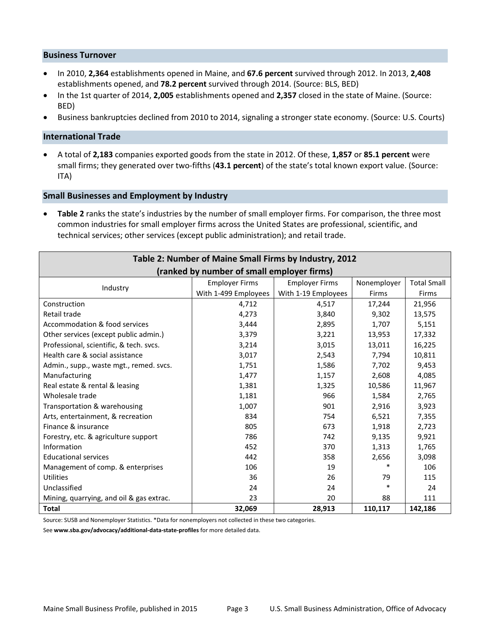#### **Business Turnover**

- In 2010, **2,364** establishments opened in Maine, and **67.6 percent** survived through 2012. In 2013, **2,408** establishments opened, and **78.2 percent** survived through 2014. (Source: BLS, BED)
- In the 1st quarter of 2014, **2,005** establishments opened and **2,357** closed in the state of Maine. (Source: BED)
- Business bankruptcies declined from 2010 to 2014, signaling a stronger state economy. (Source: U.S. Courts)

#### **International Trade**

• A total of **2,183** companies exported goods from the state in 2012. Of these, **1,857** or **85.1 percent** were small firms; they generated over two-fifths (**43.1 percent**) of the state's total known export value. (Source: ITA)

#### **Small Businesses and Employment by Industry**

• **Table 2** ranks the state's industries by the number of small employer firms. For comparison, the three most common industries for small employer firms across the United States are professional, scientific, and technical services; other services (except public administration); and retail trade.

| Table 2: Number of Maine Small Firms by Industry, 2012 |                       |                          |             |                    |  |
|--------------------------------------------------------|-----------------------|--------------------------|-------------|--------------------|--|
| (ranked by number of small employer firms)             |                       |                          |             |                    |  |
| Industry                                               | <b>Employer Firms</b> | <b>Employer Firms</b>    | Nonemployer | <b>Total Small</b> |  |
|                                                        | With 1-499 Employees  | With 1-19 Employees      | Firms       | Firms              |  |
| Construction                                           | 4,712                 | 4,517                    | 17,244      | 21,956             |  |
| Retail trade                                           | 4,273                 | 3,840<br>9,302<br>13,575 |             |                    |  |
| Accommodation & food services                          | 3,444                 | 1,707<br>2,895           |             | 5,151              |  |
| Other services (except public admin.)                  | 3,379                 | 3,221<br>13,953          |             | 17,332             |  |
| Professional, scientific, & tech. svcs.                | 3,214                 | 3,015                    | 13,011      | 16,225             |  |
| Health care & social assistance                        | 3,017                 | 2,543                    | 7,794       | 10,811             |  |
| Admin., supp., waste mgt., remed. svcs.                | 1,751                 | 1,586                    | 7,702       | 9,453              |  |
| Manufacturing                                          | 1,477                 | 1,157                    | 2,608       | 4,085              |  |
| Real estate & rental & leasing                         | 1,381                 | 1,325                    | 10,586      | 11,967             |  |
| Wholesale trade                                        | 1,181                 | 966                      | 1,584       | 2,765              |  |
| Transportation & warehousing                           | 1,007                 | 901                      | 2,916       | 3,923              |  |
| Arts, entertainment, & recreation                      | 834                   | 754                      | 6,521       | 7,355              |  |
| Finance & insurance                                    | 805                   | 673                      | 1,918       | 2,723              |  |
| Forestry, etc. & agriculture support                   | 786                   | 742                      | 9,135       | 9,921              |  |
| Information                                            | 452                   | 370                      | 1,313       | 1,765              |  |
| <b>Educational services</b>                            | 442                   | 358                      | 2,656       | 3,098              |  |
| Management of comp. & enterprises                      | 106                   | 19                       | $\ast$      | 106                |  |
| <b>Utilities</b>                                       | 36                    | 26                       | 79          | 115                |  |
| Unclassified                                           | 24                    | 24                       | $\ast$      | 24                 |  |
| Mining, quarrying, and oil & gas extrac.               | 23                    | 20                       | 88          | 111                |  |
| <b>Total</b>                                           | 32,069                | 28,913                   | 110,117     | 142,186            |  |

Source: SUSB and Nonemployer Statistics. \*Data for nonemployers not collected in these two categories.

See **www.sba.gov/advocacy/additional-data-state-profiles** for more detailed data.